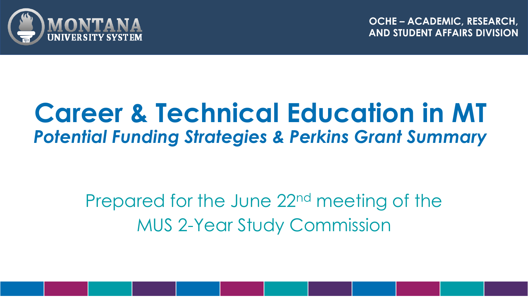

**OCHE – ACADEMIC, RESEARCH, AND STUDENT AFFAIRS DIVISION**

### **Career & Technical Education in MT** *Potential Funding Strategies & Perkins Grant Summary*

Prepared for the June 22nd meeting of the MUS 2-Year Study Commission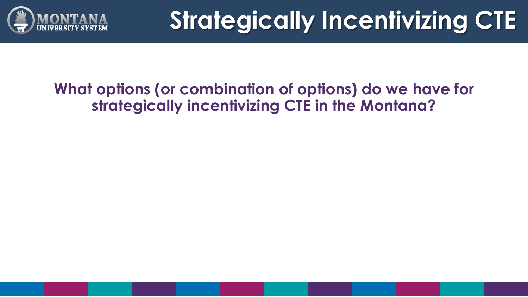

# **Strategically Incentivizing CTE**

### **What options (or combination of options) do we have for strategically incentivizing CTE in the Montana?**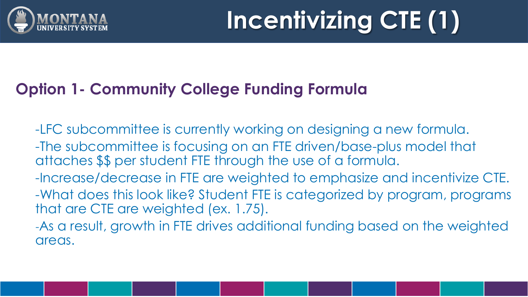

### **Option 1- Community College Funding Formula**

- -LFC subcommittee is currently working on designing a new formula. -The subcommittee is focusing on an FTE driven/base-plus model that attaches \$\$ per student FTE through the use of a formula. -Increase/decrease in FTE are weighted to emphasize and incentivize CTE. -What does this look like? Student FTE is categorized by program, programs
- that are CTE are weighted (ex. 1.75).
- -As a result, growth in FTE drives additional funding based on the weighted areas.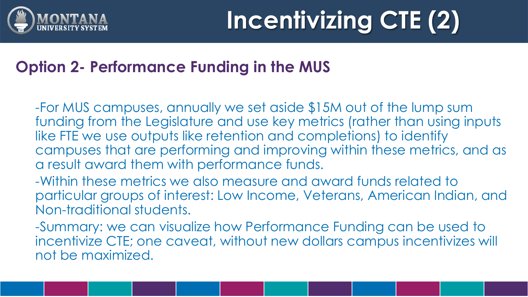

### **Option 2- Performance Funding in the MUS**

-For MUS campuses, annually we set aside \$15M out of the lump sum funding from the Legislature and use key metrics (rather than using inputs like FTE we use outputs like retention and completions) to identify campuses that are performing and improving within these metrics, and as a result award them with performance funds.

-Within these metrics we also measure and award funds related to particular groups of interest: Low Income, Veterans, American Indian, and Non-traditional students.

-Summary: we can visualize how Performance Funding can be used to incentivize CTE; one caveat, without new dollars campus incentivizes will not be maximized.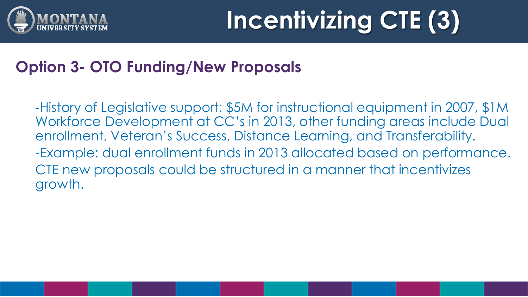

# **Incentivizing CTE (3)**

### **Option 3- OTO Funding/New Proposals**

-History of Legislative support: \$5M for instructional equipment in 2007, \$1M Workforce Development at CC's in 2013, other funding areas include Dual enrollment, Veteran's Success, Distance Learning, and Transferability. -Example: dual enrollment funds in 2013 allocated based on performance. CTE new proposals could be structured in a manner that incentivizes growth.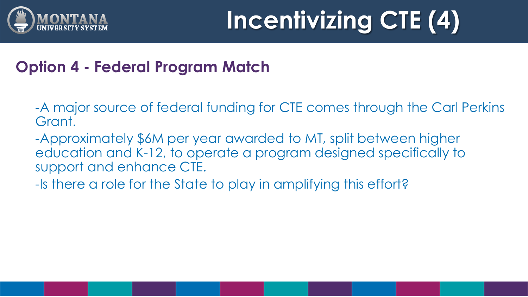

# **Incentivizing CTE (4)**

### **Option 4 - Federal Program Match**

- -A major source of federal funding for CTE comes through the Carl Perkins Grant.
- -Approximately \$6M per year awarded to MT, split between higher education and K-12, to operate a program designed specifically to support and enhance CTE.
- -Is there a role for the State to play in amplifying this effort?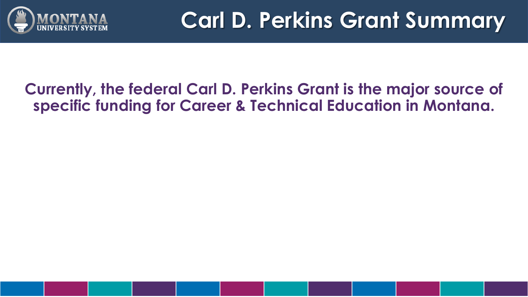

### **Carl D. Perkins Grant Summary**

#### **Currently, the federal Carl D. Perkins Grant is the major source of specific funding for Career & Technical Education in Montana.**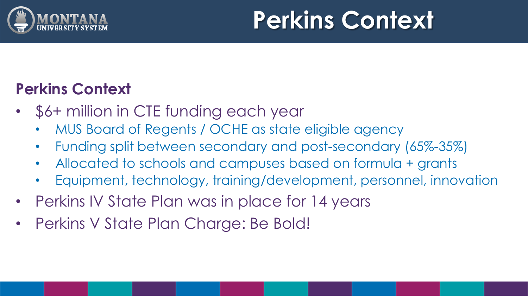

## **Perkins Context**

### **Perkins Context**

- \$6+ million in CTE funding each year
	- MUS Board of Regents / OCHE as state eligible agency
	- Funding split between secondary and post-secondary (65%-35%)
	- Allocated to schools and campuses based on formula + grants
	- Equipment, technology, training/development, personnel, innovation
- Perkins IV State Plan was in place for 14 years
- Perkins V State Plan Charge: Be Bold!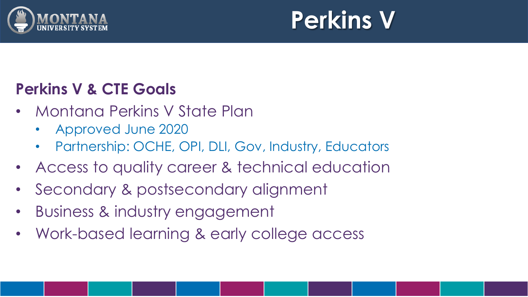

## **Perkins V**

### **Perkins V & CTE Goals**

- Montana Perkins V State Plan
	- Approved June 2020
	- Partnership: OCHE, OPI, DLI, Gov, Industry, Educators
- Access to quality career & technical education
- Secondary & postsecondary alignment
- Business & industry engagement
- Work-based learning & early college access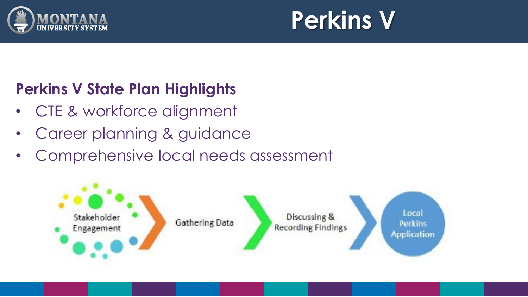

## **Perkins V**

### **Perkins V State Plan Highlights**

- CTE & workforce alignment
- Career planning & guidance
- Comprehensive local needs assessment